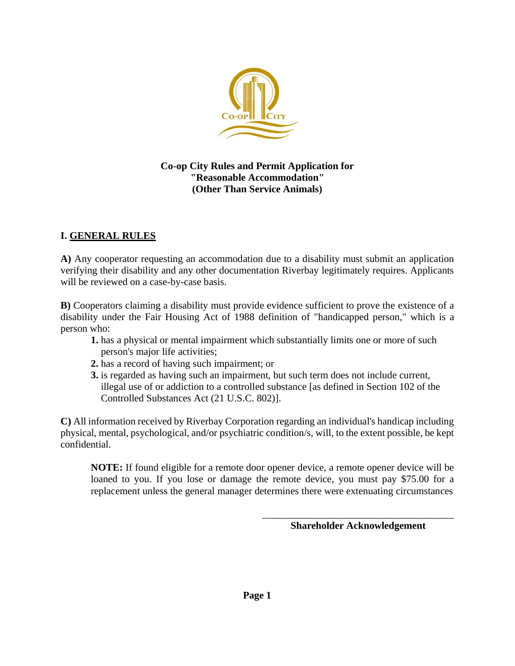

**Co-op City Rules and Permit Application for "Reasonable Accommodation" (Other Than Service Animals)**

#### **I. GENERAL RULES**

**A)** Any cooperator requesting an accommodation due to a disability must submit an application verifying their disability and any other documentation Riverbay legitimately requires. Applicants will be reviewed on a case-by-case basis.

**B)** Cooperators claiming a disability must provide evidence sufficient to prove the existence of a disability under the Fair Housing Act of 1988 definition of "handicapped person," which is a person who:

- **1.** has a physical or mental impairment which substantially limits one or more of such person's major life activities;
- **2.** has a record of having such impairment; or
- **3.** is regarded as having such an impairment, but such term does not include current, illegal use of or addiction to a controlled substance [as defined in Section 102 of the Controlled Substances Act (21 U.S.C. 802)].

**C)** All information received by Riverbay Corporation regarding an individual's handicap including physical, mental, psychological, and/or psychiatric condition/s, will, to the extent possible, be kept confidential.

**NOTE:** If found eligible for a remote door opener device, a remote opener device will be loaned to you. If you lose or damage the remote device, you must pay \$75.00 for a replacement unless the general manager determines there were extenuating circumstances

> \_\_\_\_\_\_\_\_\_\_\_\_\_\_\_\_\_\_\_\_\_\_\_\_\_\_\_\_\_\_\_\_\_\_\_\_\_\_ **Shareholder Acknowledgement**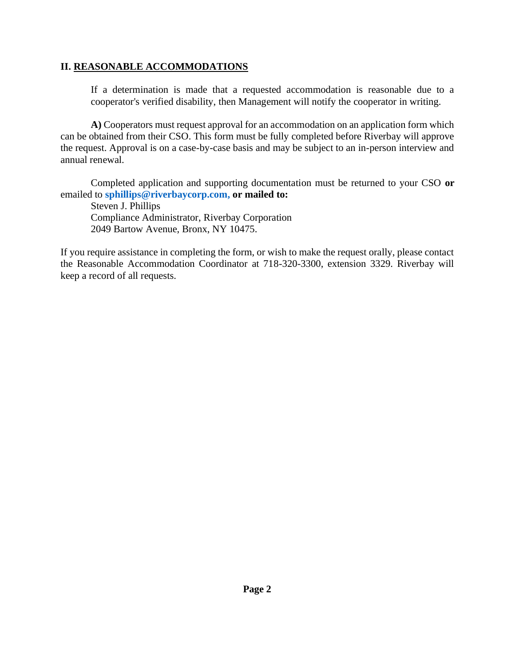#### **II. REASONABLE ACCOMMODATIONS**

If a determination is made that a requested accommodation is reasonable due to a cooperator's verified disability, then Management will notify the cooperator in writing.

**A)** Cooperators must request approval for an accommodation on an application form which can be obtained from their CSO. This form must be fully completed before Riverbay will approve the request. Approval is on a case-by-case basis and may be subject to an in-person interview and annual renewal.

Completed application and supporting documentation must be returned to your CSO **or** emailed to **[sphillips@riverbaycorp.com,](mailto:sphillips@riverbaycorp.com) or mailed to:** 

Steven J. Phillips Compliance Administrator, Riverbay Corporation 2049 Bartow Avenue, Bronx, NY 10475.

If you require assistance in completing the form, or wish to make the request orally, please contact the Reasonable Accommodation Coordinator at 718-320-3300, extension 3329. Riverbay will keep a record of all requests.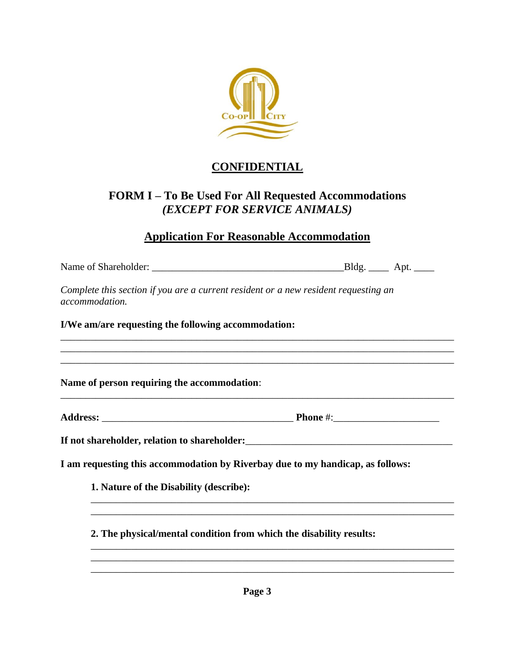

## **CONFIDENTIAL**

### **FORM I – To Be Used For All Requested Accommodations** *(EXCEPT FOR SERVICE ANIMALS)*

# **Application For Reasonable Accommodation**

| Complete this section if you are a current resident or a new resident requesting an |                                                                                                                                                                       |
|-------------------------------------------------------------------------------------|-----------------------------------------------------------------------------------------------------------------------------------------------------------------------|
|                                                                                     |                                                                                                                                                                       |
|                                                                                     | ,我们也不能在这里的时候,我们也不能在这里的时候,我们也不能在这里的时候,我们也不能会在这里的时候,我们也不能会在这里的时候,我们也不能会在这里的时候,我们也不能<br>,我们也不会有什么。""我们的人,我们也不会有什么?""我们的人,我们也不会有什么?""我们的人,我们也不会有什么?""我们的人,我们也不会有什么?""我们的人 |
|                                                                                     |                                                                                                                                                                       |
|                                                                                     |                                                                                                                                                                       |
|                                                                                     |                                                                                                                                                                       |
| I am requesting this accommodation by Riverbay due to my handicap, as follows:      |                                                                                                                                                                       |
|                                                                                     |                                                                                                                                                                       |
|                                                                                     |                                                                                                                                                                       |
| 2. The physical/mental condition from which the disability results:                 |                                                                                                                                                                       |
|                                                                                     |                                                                                                                                                                       |
|                                                                                     |                                                                                                                                                                       |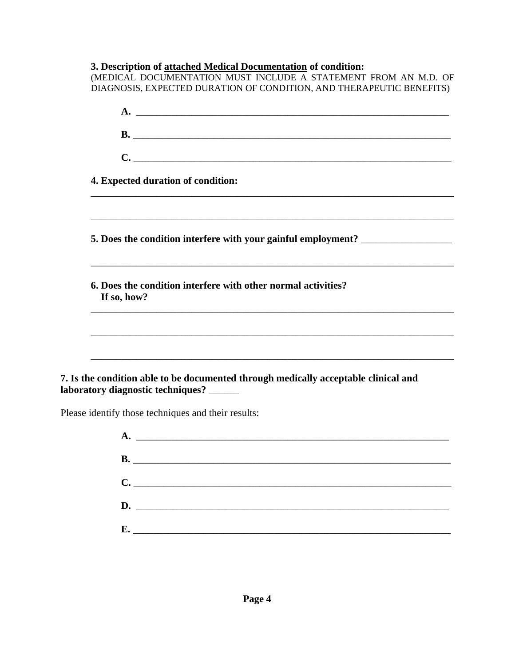**3. Description of attached Medical Documentation of condition:** (MEDICAL DOCUMENTATION MUST INCLUDE A STATEMENT FROM AN M.D. OF DIAGNOSIS, EXPECTED DURATION OF CONDITION, AND THERAPEUTIC BENEFITS) **A.** \_\_\_\_\_\_\_\_\_\_\_\_\_\_\_\_\_\_\_\_\_\_\_\_\_\_\_\_\_\_\_\_\_\_\_\_\_\_\_\_\_\_\_\_\_\_\_\_\_\_\_\_\_\_\_\_\_\_\_\_\_\_ **B.** \_\_\_\_\_\_\_\_\_\_\_\_\_\_\_\_\_\_\_\_\_\_\_\_\_\_\_\_\_\_\_\_\_\_\_\_\_\_\_\_\_\_\_\_\_\_\_\_\_\_\_\_\_\_\_\_\_\_\_\_\_\_\_ **C.**  $\blacksquare$ **4. Expected duration of condition:** \_\_\_\_\_\_\_\_\_\_\_\_\_\_\_\_\_\_\_\_\_\_\_\_\_\_\_\_\_\_\_\_\_\_\_\_\_\_\_\_\_\_\_\_\_\_\_\_\_\_\_\_\_\_\_\_\_\_\_\_\_\_\_\_\_\_\_\_\_\_\_\_ **5. Does the condition interfere with your gainful employment?** \_\_\_\_\_\_\_\_\_\_\_\_\_\_\_\_\_\_ \_\_\_\_\_\_\_\_\_\_\_\_\_\_\_\_\_\_\_\_\_\_\_\_\_\_\_\_\_\_\_\_\_\_\_\_\_\_\_\_\_\_\_\_\_\_\_\_\_\_\_\_\_\_\_\_\_\_\_\_\_\_\_\_\_\_\_\_\_\_\_\_ **6. Does the condition interfere with other normal activities? If so, how?** \_\_\_\_\_\_\_\_\_\_\_\_\_\_\_\_\_\_\_\_\_\_\_\_\_\_\_\_\_\_\_\_\_\_\_\_\_\_\_\_\_\_\_\_\_\_\_\_\_\_\_\_\_\_\_\_\_\_\_\_\_\_\_\_\_\_\_\_\_\_\_\_ \_\_\_\_\_\_\_\_\_\_\_\_\_\_\_\_\_\_\_\_\_\_\_\_\_\_\_\_\_\_\_\_\_\_\_\_\_\_\_\_\_\_\_\_\_\_\_\_\_\_\_\_\_\_\_\_\_\_\_\_\_\_\_\_\_\_\_\_\_\_\_\_ **7. Is the condition able to be documented through medically acceptable clinical and laboratory diagnostic techniques?** \_\_\_\_\_\_ Please identify those techniques and their results: **A.** \_\_\_\_\_\_\_\_\_\_\_\_\_\_\_\_\_\_\_\_\_\_\_\_\_\_\_\_\_\_\_\_\_\_\_\_\_\_\_\_\_\_\_\_\_\_\_\_\_\_\_\_\_\_\_\_\_\_\_\_\_\_ **B.** \_\_\_\_\_\_\_\_\_\_\_\_\_\_\_\_\_\_\_\_\_\_\_\_\_\_\_\_\_\_\_\_\_\_\_\_\_\_\_\_\_\_\_\_\_\_\_\_\_\_\_\_\_\_\_\_\_\_\_\_\_\_\_

**C.**  $\blacksquare$ **D.** \_\_\_\_\_\_\_\_\_\_\_\_\_\_\_\_\_\_\_\_\_\_\_\_\_\_\_\_\_\_\_\_\_\_\_\_\_\_\_\_\_\_\_\_\_\_\_\_\_\_\_\_\_\_\_\_\_\_\_\_\_\_ **E.**  $\blacksquare$